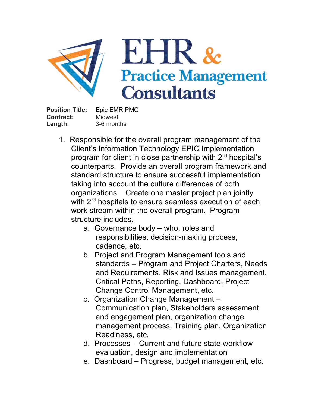

**Position Title:** Epic EMR PMO **Contract: Length: Midwest** 3-6 months

- 1. Responsible for the overall program management of the Client's Information Technology EPIC Implementation program for client in close partnership with 2<sup>nd</sup> hospital's counterparts. Provide an overall program framework and standard structure to ensure successful implementation taking into account the culture differences of both organizations. Create one master project plan jointly with 2<sup>nd</sup> hospitals to ensure seamless execution of each work stream within the overall program. Program structure includes.
	- a. Governance body who, roles and responsibilities, decision-making process, cadence, etc.
	- b. Project and Program Management tools and standards – Program and Project Charters, Needs and Requirements, Risk and Issues management, Critical Paths, Reporting, Dashboard, Project Change Control Management, etc.
	- c. Organization Change Management Communication plan, Stakeholders assessment and engagement plan, organization change management process, Training plan, Organization Readiness, etc.
	- d. Processes Current and future state workflow evaluation, design and implementation
	- e. Dashboard Progress, budget management, etc.